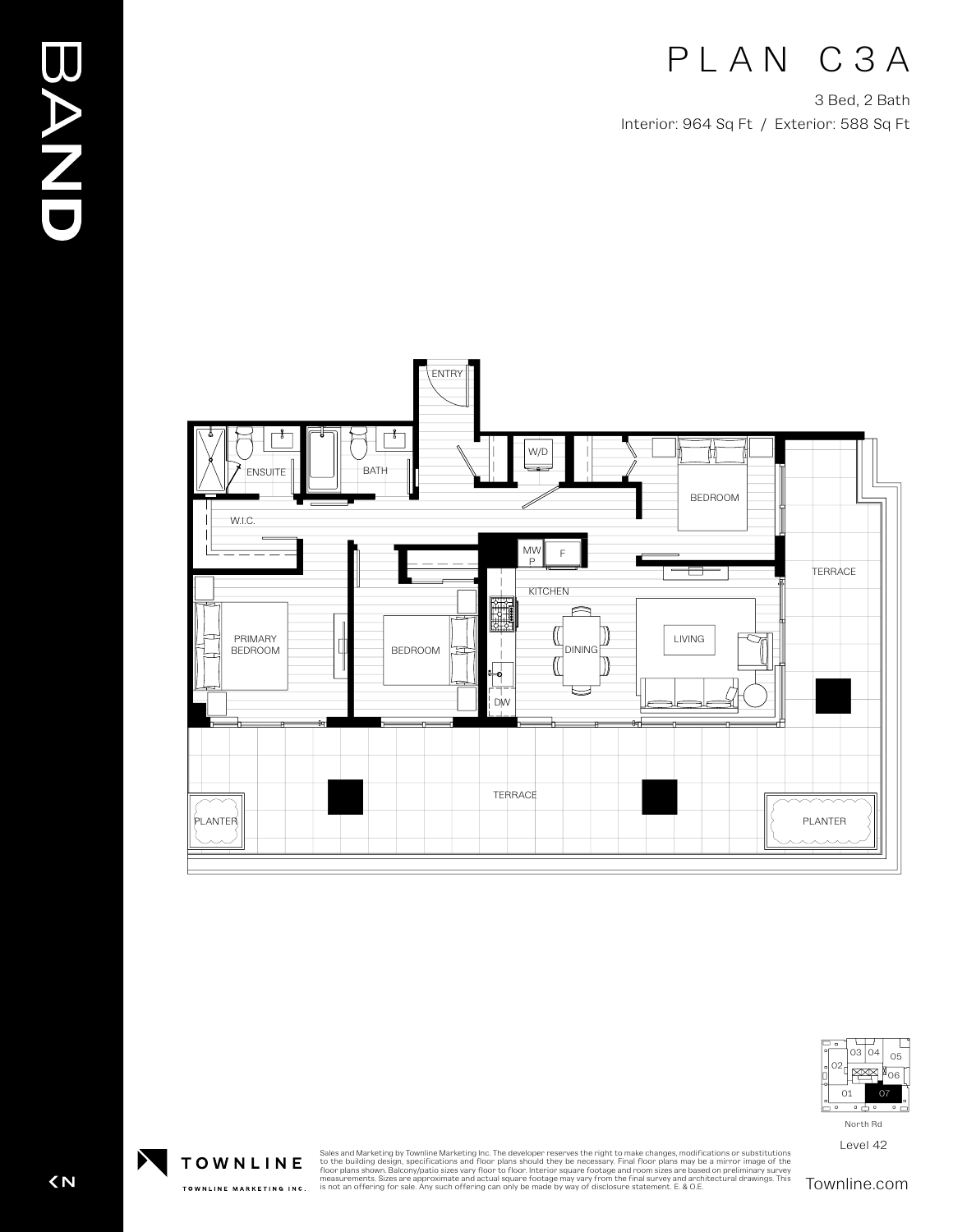# PLAN C3A

3 Bed, 2 Bath Interior: 964 Sq Ft / Exterior: 588 Sq Ft





Level 42

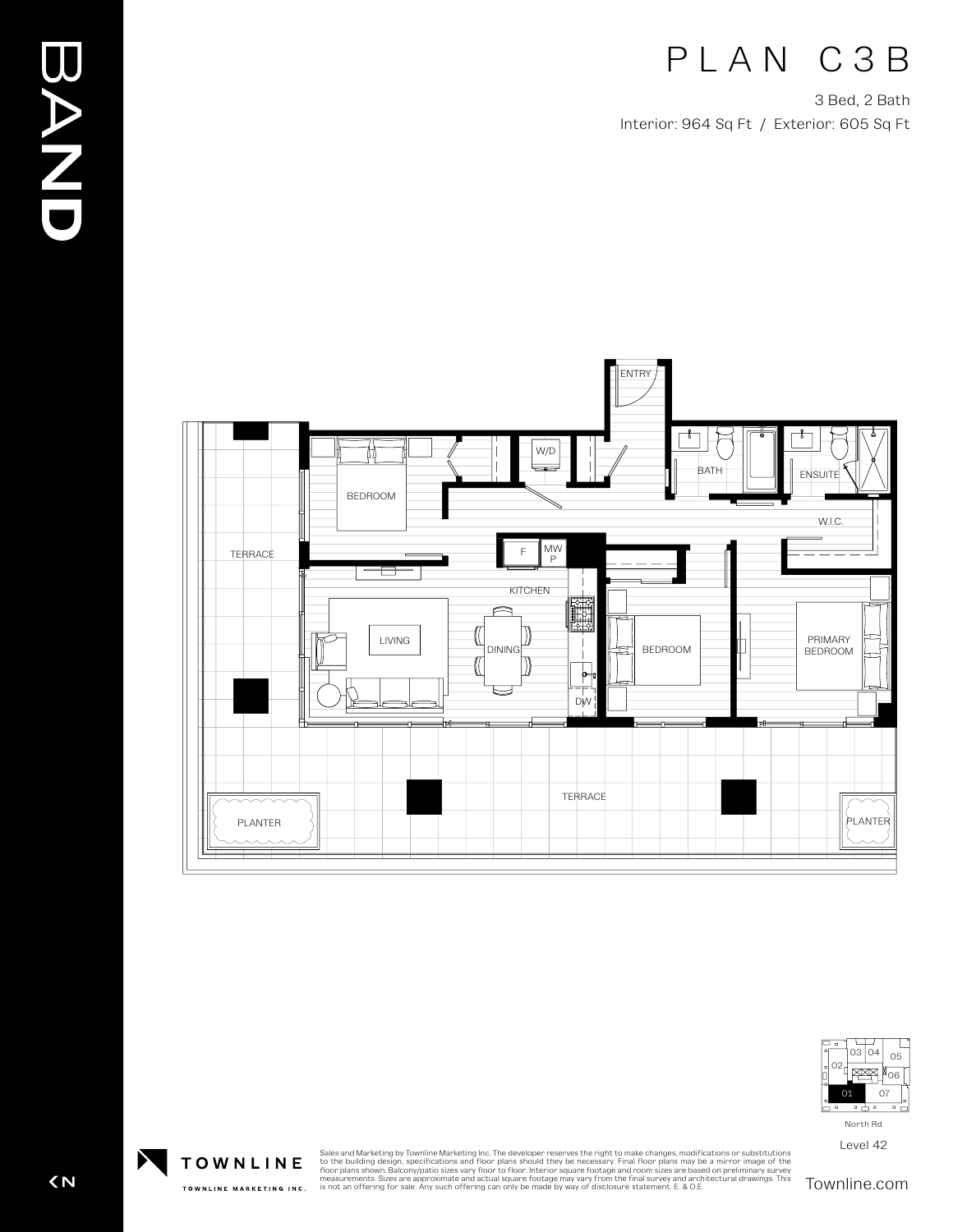#### PLAN C3B

3 Bed, 2 Bath Interior: 964 Sq Ft / Exterior: 605 Sq Ft





Level 42

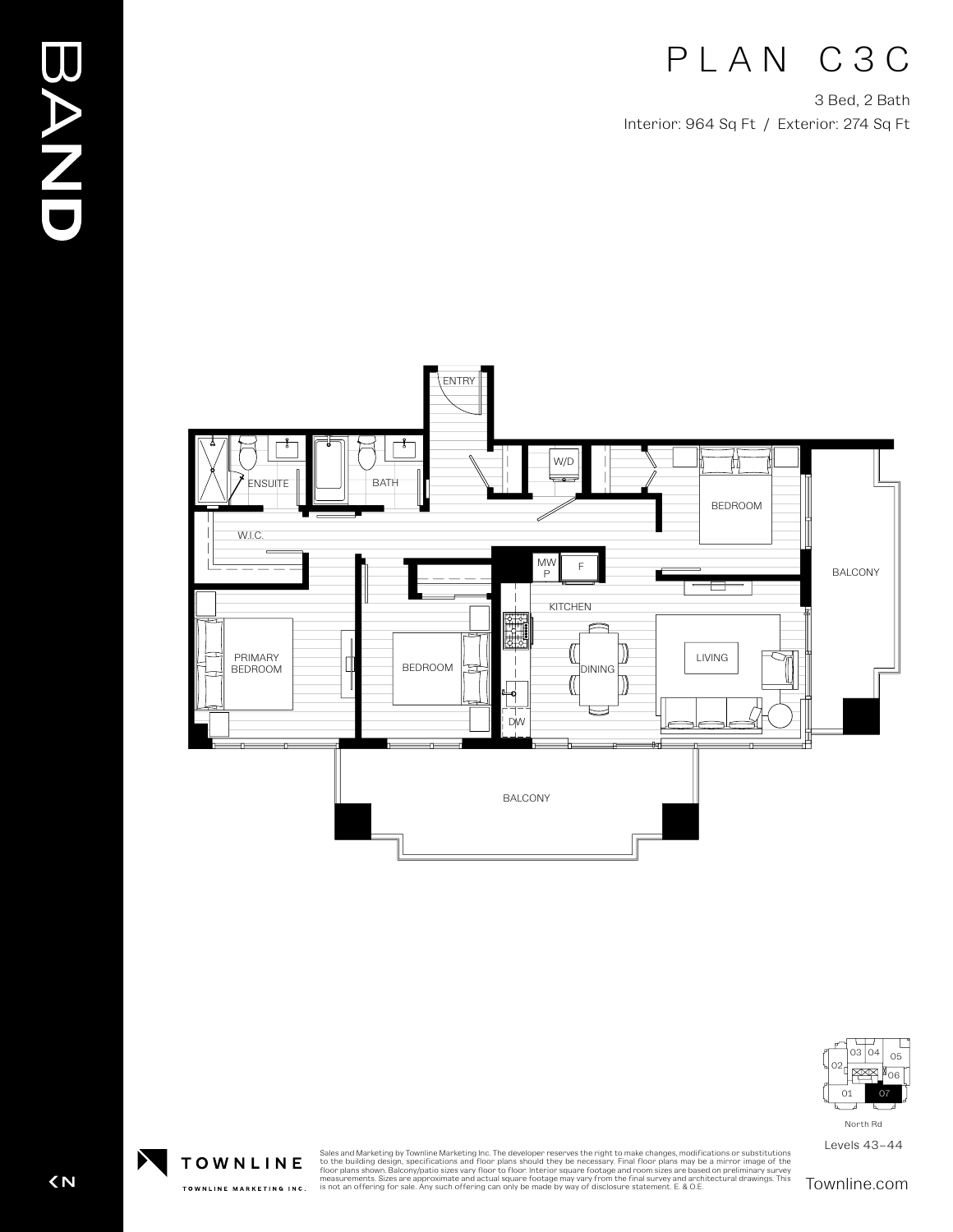# PLAN C3C

3 Bed, 2 Bath Interior: 964 Sq Ft / Exterior: 274 Sq Ft





North Rd

Levels 43–44

Sales and Marketing by Townline Marketing Inc. The developer reserves the right to make changes, modifications or substitutions<br>to the building design, specifications and floor plans should they be necessary. Final floor p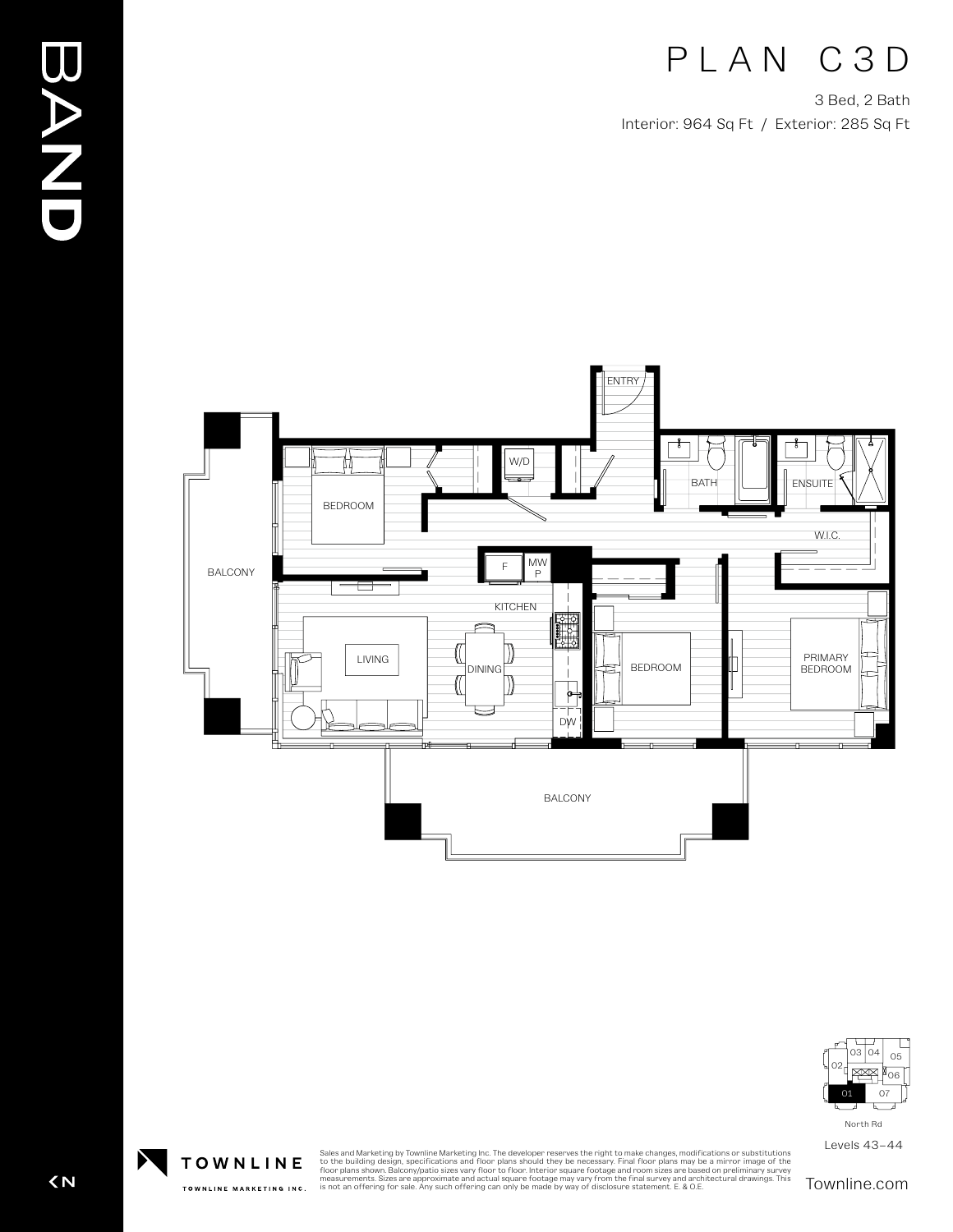### PLAN C3D

3 Bed, 2 Bath Interior: 964 Sq Ft / Exterior: 285 Sq Ft





North Rd

Levels 43–44

Sales and Marketing by Townline Marketing Inc. The developer reserves the right to make changes, modifications or substitutions<br>to the building design, specifications and floor plans should they be necessary. Final floor p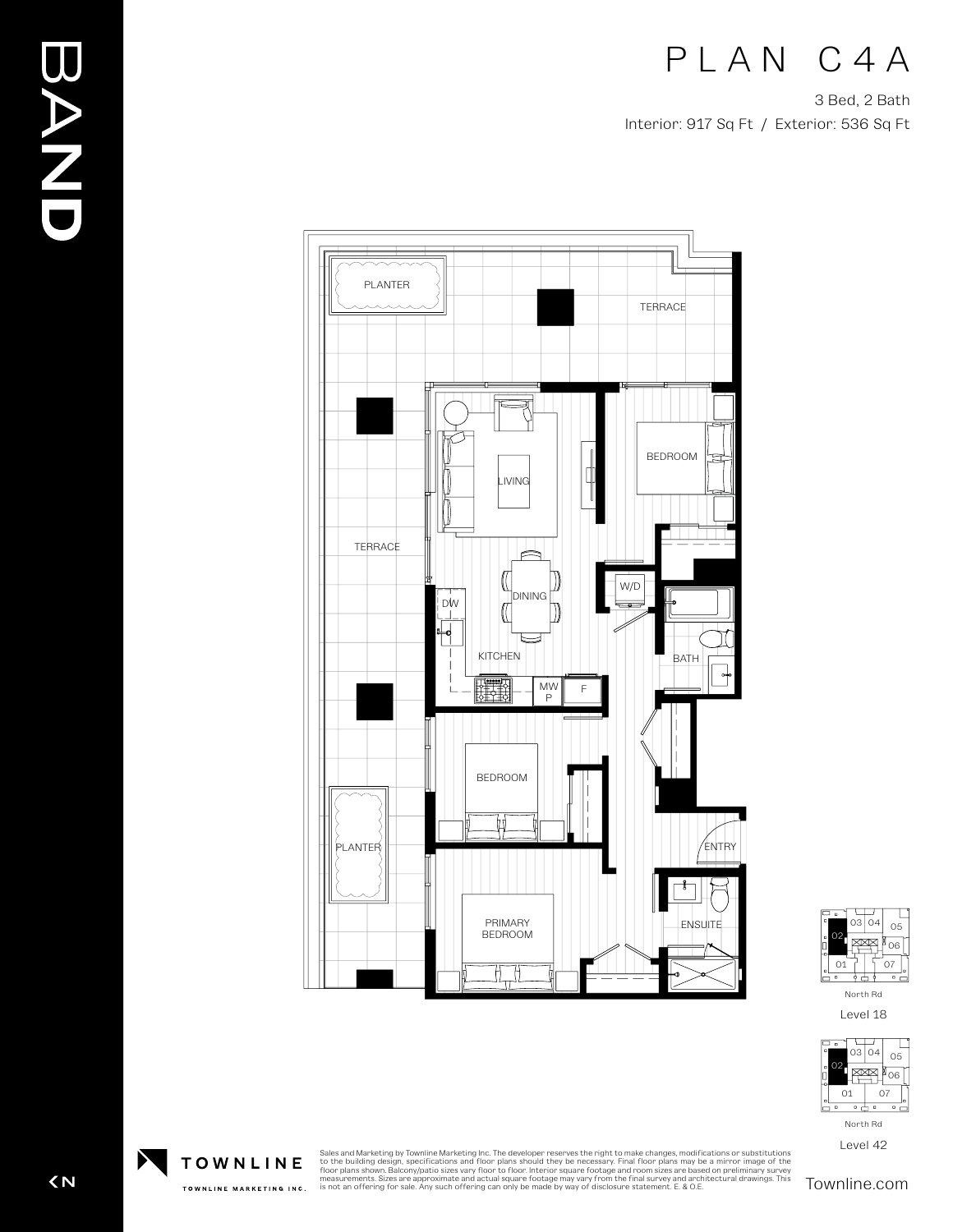PLAN C4A

3 Bed, 2 Bath Interior: 917 Sq Ft / Exterior: 536 Sq Ft





Level 18



Level 42

**EAND** 

Sales and Marketing by Townline Marketing Inc. The developer reserves the right to make changes, modifications or substitutions<br>to the building design, specifications and floor plans should they be necessary. Final floor p

 $\overline{\left( N\right) }$